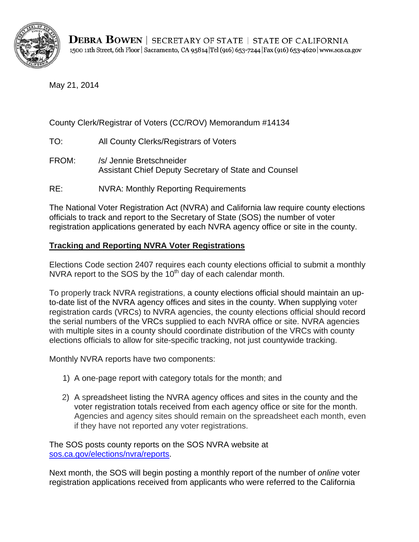

May 21, 2014

# County Clerk/Registrar of Voters (CC/ROV) Memorandum #14134 TO: All County Clerks/Registrars of Voters

- 
- FROM: /s/ Jennie Bretschneider Assistant Chief Deputy Secretary of State and Counsel
- RE: NVRA: Monthly Reporting Requirements

The National Voter Registration Act (NVRA) and California law require county elections officials to track and report to the Secretary of State (SOS) the number of voter registration applications generated by each NVRA agency office or site in the county.

## **Tracking and Reporting NVRA Voter Registrations**

Elections Code section 2407 requires each county elections official to submit a monthly NVRA report to the SOS by the  $10<sup>th</sup>$  day of each calendar month.

To properly track NVRA registrations, a county elections official should maintain an upto-date list of the NVRA agency offices and sites in the county. When supplying voter registration cards (VRCs) to NVRA agencies, the county elections official should record the serial numbers of the VRCs supplied to each NVRA office or site. NVRA agencies with multiple sites in a county should coordinate distribution of the VRCs with county elections officials to allow for site-specific tracking, not just countywide tracking.

Monthly NVRA reports have two components:

- 1) A one-page report with category totals for the month; and
- 2) A spreadsheet listing the NVRA agency offices and sites in the county and the voter registration totals received from each agency office or site for the month. Agencies and agency sites should remain on the spreadsheet each month, even if they have not reported any voter registrations.

The SOS posts county reports on the SOS NVRA website at [sos.ca.gov/elections/nvra/reports.](http://www.sos.ca.gov/elections/voter-registration/nvra/reports/)

Next month, the SOS will begin posting a monthly report of the number of *online* voter registration applications received from applicants who were referred to the California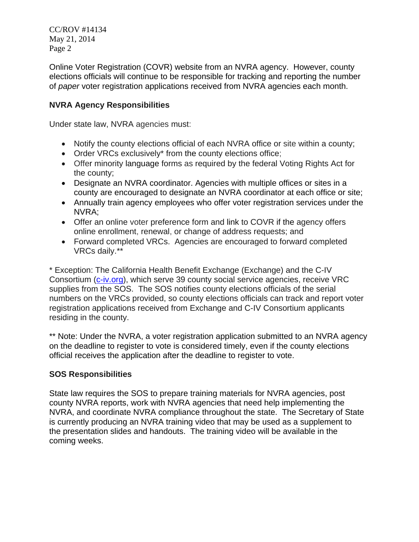CC/ROV #14134 May 21, 2014 Page 2

Online Voter Registration (COVR) website from an NVRA agency. However, county elections officials will continue to be responsible for tracking and reporting the number of *paper* voter registration applications received from NVRA agencies each month.

### **NVRA Agency Responsibilities**

Under state law, NVRA agencies must:

- Notify the county elections official of each NVRA office or site within a county;
- Order VRCs exclusively\* from the county elections office;
- Offer minority language forms as required by the federal Voting Rights Act for the county;
- Designate an NVRA coordinator. Agencies with multiple offices or sites in a county are encouraged to designate an NVRA coordinator at each office or site;
- Annually train agency employees who offer voter registration services under the NVRA;
- Offer an online voter preference form and link to COVR if the agency offers online enrollment, renewal, or change of address requests; and
- Forward completed VRCs. Agencies are encouraged to forward completed VRCs daily.\*\*

\* Exception: The California Health Benefit Exchange (Exchange) and the C-IV Consortium [\(c-iv.org\)](http://www.c-iv.org/), which serve 39 county social service agencies, receive VRC supplies from the SOS. The SOS notifies county elections officials of the serial numbers on the VRCs provided, so county elections officials can track and report voter registration applications received from Exchange and C-IV Consortium applicants residing in the county.

\*\* Note: Under the NVRA, a voter registration application submitted to an NVRA agency on the deadline to register to vote is considered timely, even if the county elections official receives the application after the deadline to register to vote.

## **SOS Responsibilities**

State law requires the SOS to prepare training materials for NVRA agencies, post county NVRA reports, work with NVRA agencies that need help implementing the NVRA, and coordinate NVRA compliance throughout the state. The Secretary of State is currently producing an NVRA training video that may be used as a supplement to the presentation slides and handouts. The training video will be available in the coming weeks.